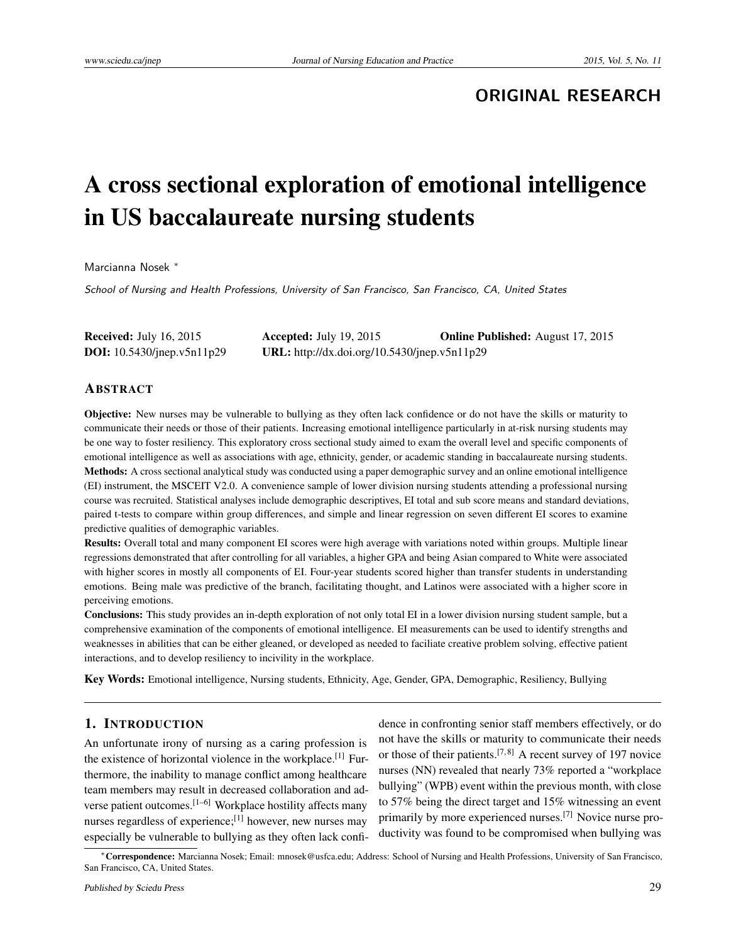# **ORIGINAL RESEARCH**

# A cross sectional exploration of emotional intelligence in US baccalaureate nursing students

Marcianna Nosek <sup>∗</sup>

School of Nursing and Health Professions, University of San Francisco, San Francisco, CA, United States

| <b>Received:</b> July 16, 2015       | Accepted: July 19, 2015                      | <b>Online Published:</b> August 17, 2015 |
|--------------------------------------|----------------------------------------------|------------------------------------------|
| <b>DOI:</b> $10.5430$ /jnep.v5n11p29 | URL: http://dx.doi.org/10.5430/jnep.v5n11p29 |                                          |

### ABSTRACT

Objective: New nurses may be vulnerable to bullying as they often lack confidence or do not have the skills or maturity to communicate their needs or those of their patients. Increasing emotional intelligence particularly in at-risk nursing students may be one way to foster resiliency. This exploratory cross sectional study aimed to exam the overall level and specific components of emotional intelligence as well as associations with age, ethnicity, gender, or academic standing in baccalaureate nursing students. Methods: A cross sectional analytical study was conducted using a paper demographic survey and an online emotional intelligence (EI) instrument, the MSCEIT V2.0. A convenience sample of lower division nursing students attending a professional nursing course was recruited. Statistical analyses include demographic descriptives, EI total and sub score means and standard deviations, paired t-tests to compare within group differences, and simple and linear regression on seven different EI scores to examine predictive qualities of demographic variables.

Results: Overall total and many component EI scores were high average with variations noted within groups. Multiple linear regressions demonstrated that after controlling for all variables, a higher GPA and being Asian compared to White were associated with higher scores in mostly all components of EI. Four-year students scored higher than transfer students in understanding emotions. Being male was predictive of the branch, facilitating thought, and Latinos were associated with a higher score in perceiving emotions.

Conclusions: This study provides an in-depth exploration of not only total EI in a lower division nursing student sample, but a comprehensive examination of the components of emotional intelligence. EI measurements can be used to identify strengths and weaknesses in abilities that can be either gleaned, or developed as needed to faciliate creative problem solving, effective patient interactions, and to develop resiliency to incivility in the workplace.

Key Words: Emotional intelligence, Nursing students, Ethnicity, Age, Gender, GPA, Demographic, Resiliency, Bullying

# 1. INTRODUCTION

An unfortunate irony of nursing as a caring profession is the existence of horizontal violence in the workplace.<sup>[\[1\]](#page-11-0)</sup> Furthermore, the inability to manage conflict among healthcare team members may result in decreased collaboration and adverse patient outcomes.[\[1](#page-11-0)[–6\]](#page-11-1) Workplace hostility affects many nurses regardless of experience;<sup>[\[1\]](#page-11-0)</sup> however, new nurses may especially be vulnerable to bullying as they often lack confi-

dence in confronting senior staff members effectively, or do not have the skills or maturity to communicate their needs or those of their patients.[\[7,](#page-11-2) [8\]](#page-11-3) A recent survey of 197 novice nurses (NN) revealed that nearly 73% reported a "workplace bullying" (WPB) event within the previous month, with close to 57% being the direct target and 15% witnessing an event primarily by more experienced nurses.[\[7\]](#page-11-2) Novice nurse productivity was found to be compromised when bullying was

<sup>∗</sup>Correspondence: Marcianna Nosek; Email: mnosek@usfca.edu; Address: School of Nursing and Health Professions, University of San Francisco, San Francisco, CA, United States.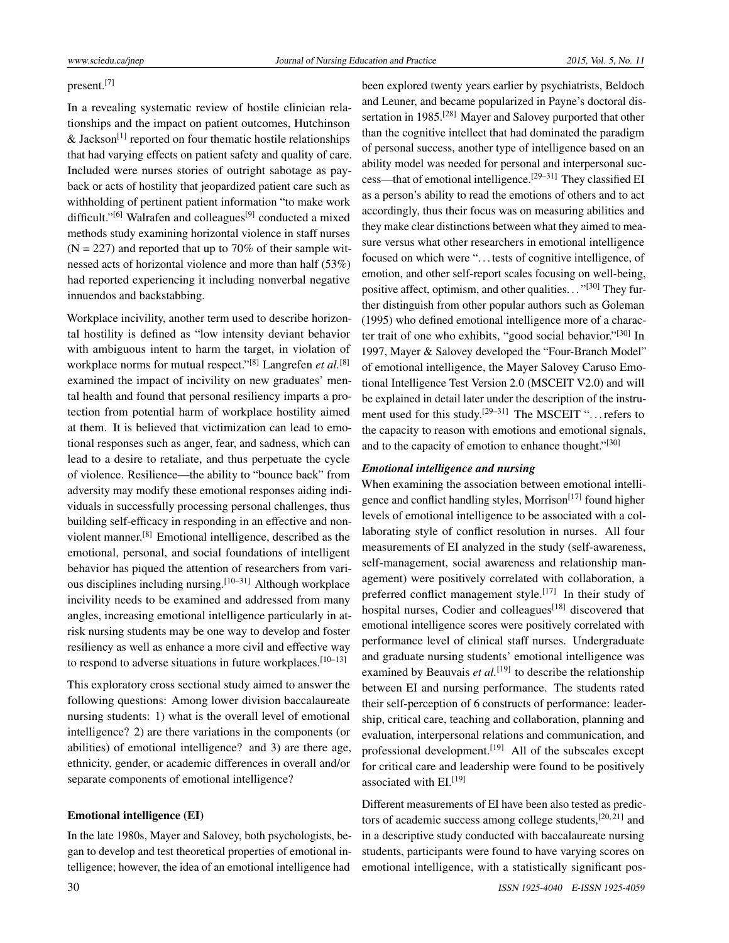# present.[\[7\]](#page-11-2)

In a revealing systematic review of hostile clinician relationships and the impact on patient outcomes, Hutchinson & Jackson<sup>[\[1\]](#page-11-0)</sup> reported on four thematic hostile relationships that had varying effects on patient safety and quality of care. Included were nurses stories of outright sabotage as payback or acts of hostility that jeopardized patient care such as withholding of pertinent patient information "to make work difficult."<sup>[\[6\]](#page-11-1)</sup> Walrafen and colleagues<sup>[\[9\]](#page-11-4)</sup> conducted a mixed methods study examining horizontal violence in staff nurses  $(N = 227)$  and reported that up to 70% of their sample witnessed acts of horizontal violence and more than half (53%) had reported experiencing it including nonverbal negative innuendos and backstabbing.

Workplace incivility, another term used to describe horizontal hostility is defined as "low intensity deviant behavior with ambiguous intent to harm the target, in violation of workplace norms for mutual respect."[\[8\]](#page-11-3) Langrefen *et al.*[\[8\]](#page-11-3) examined the impact of incivility on new graduates' mental health and found that personal resiliency imparts a protection from potential harm of workplace hostility aimed at them. It is believed that victimization can lead to emotional responses such as anger, fear, and sadness, which can lead to a desire to retaliate, and thus perpetuate the cycle of violence. Resilience—the ability to "bounce back" from adversity may modify these emotional responses aiding individuals in successfully processing personal challenges, thus building self-efficacy in responding in an effective and nonviolent manner.[\[8\]](#page-11-3) Emotional intelligence, described as the emotional, personal, and social foundations of intelligent behavior has piqued the attention of researchers from various disciplines including nursing.[\[10–](#page-11-5)[31\]](#page-11-6) Although workplace incivility needs to be examined and addressed from many angles, increasing emotional intelligence particularly in atrisk nursing students may be one way to develop and foster resiliency as well as enhance a more civil and effective way to respond to adverse situations in future workplaces. $[10-13]$  $[10-13]$ 

This exploratory cross sectional study aimed to answer the following questions: Among lower division baccalaureate nursing students: 1) what is the overall level of emotional intelligence? 2) are there variations in the components (or abilities) of emotional intelligence? and 3) are there age, ethnicity, gender, or academic differences in overall and/or separate components of emotional intelligence?

#### Emotional intelligence (EI)

In the late 1980s, Mayer and Salovey, both psychologists, began to develop and test theoretical properties of emotional intelligence; however, the idea of an emotional intelligence had

been explored twenty years earlier by psychiatrists, Beldoch and Leuner, and became popularized in Payne's doctoral dis-sertation in 1985.<sup>[\[28\]](#page-11-8)</sup> Mayer and Salovey purported that other than the cognitive intellect that had dominated the paradigm of personal success, another type of intelligence based on an ability model was needed for personal and interpersonal suc-cess—that of emotional intelligence.<sup>[\[29](#page-11-9)[–31\]](#page-11-6)</sup> They classified EI as a person's ability to read the emotions of others and to act accordingly, thus their focus was on measuring abilities and they make clear distinctions between what they aimed to measure versus what other researchers in emotional intelligence focused on which were ". . . tests of cognitive intelligence, of emotion, and other self-report scales focusing on well-being, positive affect, optimism, and other qualities..."<sup>[\[30\]](#page-11-10)</sup> They further distinguish from other popular authors such as Goleman (1995) who defined emotional intelligence more of a charac-ter trait of one who exhibits, "good social behavior."<sup>[\[30\]](#page-11-10)</sup> In 1997, Mayer & Salovey developed the "Four-Branch Model" of emotional intelligence, the Mayer Salovey Caruso Emotional Intelligence Test Version 2.0 (MSCEIT V2.0) and will be explained in detail later under the description of the instru-ment used for this study.<sup>[\[29](#page-11-9)[–31\]](#page-11-6)</sup> The MSCEIT " $\dots$  refers to the capacity to reason with emotions and emotional signals, and to the capacity of emotion to enhance thought."<sup>[\[30\]](#page-11-10)</sup>

#### *Emotional intelligence and nursing*

When examining the association between emotional intelli-gence and conflict handling styles, Morrison<sup>[\[17\]](#page-11-11)</sup> found higher levels of emotional intelligence to be associated with a collaborating style of conflict resolution in nurses. All four measurements of EI analyzed in the study (self-awareness, self-management, social awareness and relationship management) were positively correlated with collaboration, a preferred conflict management style.<sup>[\[17\]](#page-11-11)</sup> In their study of hospital nurses, Codier and colleagues<sup>[\[18\]](#page-11-12)</sup> discovered that emotional intelligence scores were positively correlated with performance level of clinical staff nurses. Undergraduate and graduate nursing students' emotional intelligence was examined by Beauvais *et al*.<sup>[\[19\]](#page-11-13)</sup> to describe the relationship between EI and nursing performance. The students rated their self-perception of 6 constructs of performance: leadership, critical care, teaching and collaboration, planning and evaluation, interpersonal relations and communication, and professional development.<sup>[\[19\]](#page-11-13)</sup> All of the subscales except for critical care and leadership were found to be positively associated with  $EI$ <sup>[\[19\]](#page-11-13)</sup>

Different measurements of EI have been also tested as predic-tors of academic success among college students,<sup>[\[20,](#page-11-14)[21\]](#page-11-15)</sup> and in a descriptive study conducted with baccalaureate nursing students, participants were found to have varying scores on emotional intelligence, with a statistically significant pos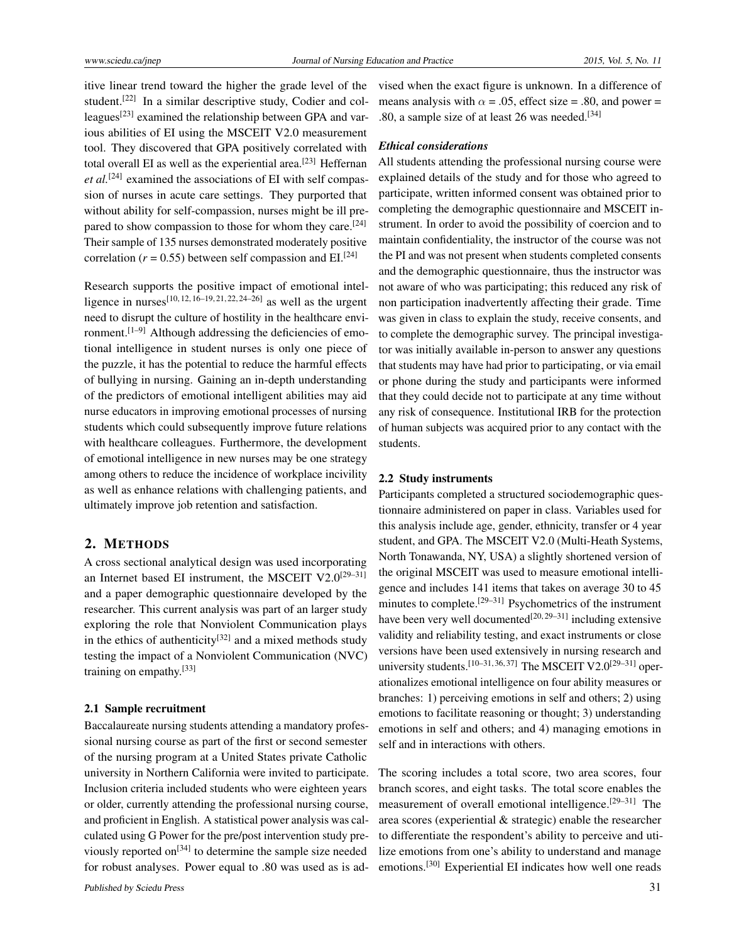itive linear trend toward the higher the grade level of the student.<sup>[\[22\]](#page-11-16)</sup> In a similar descriptive study, Codier and col-leagues<sup>[\[23\]](#page-11-17)</sup> examined the relationship between GPA and various abilities of EI using the MSCEIT V2.0 measurement tool. They discovered that GPA positively correlated with total overall EI as well as the experiential area.<sup>[\[23\]](#page-11-17)</sup> Heffernan et al.<sup>[\[24\]](#page-11-18)</sup> examined the associations of EI with self compassion of nurses in acute care settings. They purported that without ability for self-compassion, nurses might be ill pre-pared to show compassion to those for whom they care.<sup>[\[24\]](#page-11-18)</sup> Their sample of 135 nurses demonstrated moderately positive correlation ( $r = 0.55$ ) between self compassion and EI.<sup>[\[24\]](#page-11-18)</sup>

Research supports the positive impact of emotional intel-ligence in nurses<sup>[\[10,](#page-11-5) [12,](#page-11-19) [16](#page-11-20)[–19,](#page-11-13) [21,](#page-11-15) [22,](#page-11-16) [24](#page-11-18)[–26\]](#page-11-21)</sup> as well as the urgent need to disrupt the culture of hostility in the healthcare envi-ronment.<sup>[\[1–](#page-11-0)[9\]](#page-11-4)</sup> Although addressing the deficiencies of emotional intelligence in student nurses is only one piece of the puzzle, it has the potential to reduce the harmful effects of bullying in nursing. Gaining an in-depth understanding of the predictors of emotional intelligent abilities may aid nurse educators in improving emotional processes of nursing students which could subsequently improve future relations with healthcare colleagues. Furthermore, the development of emotional intelligence in new nurses may be one strategy among others to reduce the incidence of workplace incivility as well as enhance relations with challenging patients, and ultimately improve job retention and satisfaction.

# 2. METHODS

A cross sectional analytical design was used incorporating an Internet based EI instrument, the MSCEIT V2.0<sup>[\[29](#page-11-9)[–31\]](#page-11-6)</sup> and a paper demographic questionnaire developed by the researcher. This current analysis was part of an larger study exploring the role that Nonviolent Communication plays in the ethics of authenticity<sup>[\[32\]](#page-12-0)</sup> and a mixed methods study testing the impact of a Nonviolent Communication (NVC) training on empathy.[\[33\]](#page-12-1)

#### 2.1 Sample recruitment

Baccalaureate nursing students attending a mandatory professional nursing course as part of the first or second semester of the nursing program at a United States private Catholic university in Northern California were invited to participate. Inclusion criteria included students who were eighteen years or older, currently attending the professional nursing course, and proficient in English. A statistical power analysis was calculated using G Power for the pre/post intervention study pre-viously reported on<sup>[\[34\]](#page-12-2)</sup> to determine the sample size needed for robust analyses. Power equal to .80 was used as is advised when the exact figure is unknown. In a difference of means analysis with  $\alpha$  = .05, effect size = .80, and power = .80, a sample size of at least 26 was needed.<sup>[\[34\]](#page-12-2)</sup>

## *Ethical considerations*

All students attending the professional nursing course were explained details of the study and for those who agreed to participate, written informed consent was obtained prior to completing the demographic questionnaire and MSCEIT instrument. In order to avoid the possibility of coercion and to maintain confidentiality, the instructor of the course was not the PI and was not present when students completed consents and the demographic questionnaire, thus the instructor was not aware of who was participating; this reduced any risk of non participation inadvertently affecting their grade. Time was given in class to explain the study, receive consents, and to complete the demographic survey. The principal investigator was initially available in-person to answer any questions that students may have had prior to participating, or via email or phone during the study and participants were informed that they could decide not to participate at any time without any risk of consequence. Institutional IRB for the protection of human subjects was acquired prior to any contact with the students.

# 2.2 Study instruments

Participants completed a structured sociodemographic questionnaire administered on paper in class. Variables used for this analysis include age, gender, ethnicity, transfer or 4 year student, and GPA. The MSCEIT V2.0 (Multi-Heath Systems, North Tonawanda, NY, USA) a slightly shortened version of the original MSCEIT was used to measure emotional intelligence and includes 141 items that takes on average 30 to 45 minutes to complete.<sup>[\[29–](#page-11-9)[31\]](#page-11-6)</sup> Psychometrics of the instrument have been very well documented<sup>[\[20,](#page-11-14)[29–](#page-11-9)[31\]](#page-11-6)</sup> including extensive validity and reliability testing, and exact instruments or close versions have been used extensively in nursing research and university students.<sup>[\[10–](#page-11-5)[31,](#page-11-6) [36,](#page-12-3) [37\]](#page-12-4)</sup> The MSCEIT V2.0<sup>[\[29–](#page-11-9)[31\]](#page-11-6)</sup> operationalizes emotional intelligence on four ability measures or branches: 1) perceiving emotions in self and others; 2) using emotions to facilitate reasoning or thought; 3) understanding emotions in self and others; and 4) managing emotions in self and in interactions with others.

The scoring includes a total score, two area scores, four branch scores, and eight tasks. The total score enables the measurement of overall emotional intelligence.[\[29](#page-11-9)[–31\]](#page-11-6) The area scores (experiential & strategic) enable the researcher to differentiate the respondent's ability to perceive and utilize emotions from one's ability to understand and manage emotions.[\[30\]](#page-11-10) Experiential EI indicates how well one reads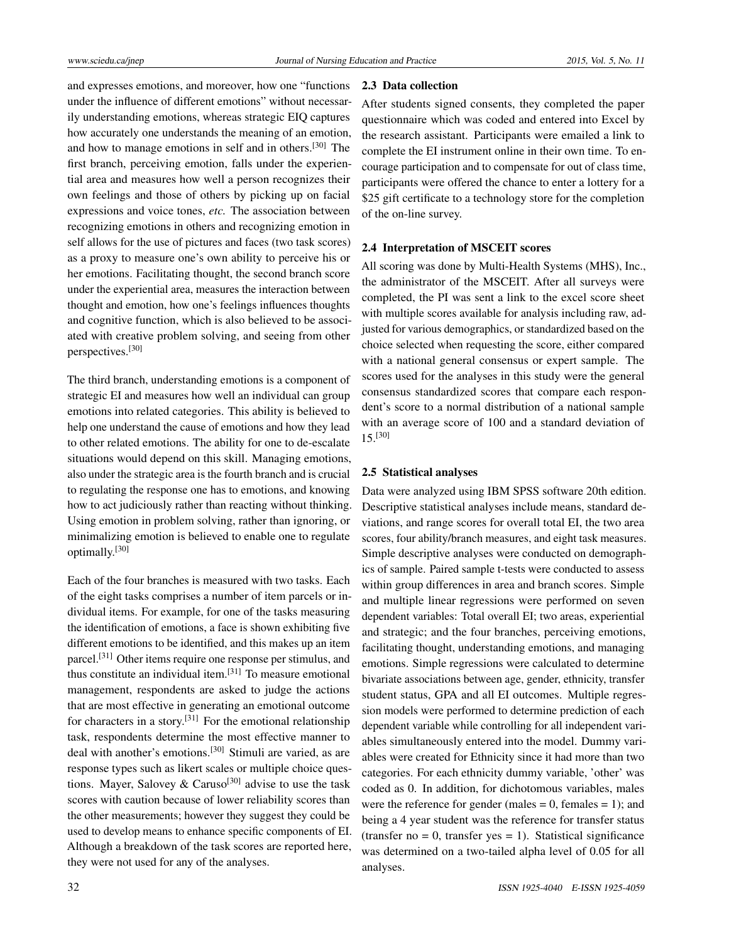and expresses emotions, and moreover, how one "functions under the influence of different emotions" without necessarily understanding emotions, whereas strategic EIQ captures how accurately one understands the meaning of an emotion, and how to manage emotions in self and in others.[\[30\]](#page-11-10) The first branch, perceiving emotion, falls under the experiential area and measures how well a person recognizes their own feelings and those of others by picking up on facial expressions and voice tones, *etc.* The association between recognizing emotions in others and recognizing emotion in self allows for the use of pictures and faces (two task scores) as a proxy to measure one's own ability to perceive his or her emotions. Facilitating thought, the second branch score under the experiential area, measures the interaction between thought and emotion, how one's feelings influences thoughts and cognitive function, which is also believed to be associated with creative problem solving, and seeing from other perspectives.[\[30\]](#page-11-10)

The third branch, understanding emotions is a component of strategic EI and measures how well an individual can group emotions into related categories. This ability is believed to help one understand the cause of emotions and how they lead to other related emotions. The ability for one to de-escalate situations would depend on this skill. Managing emotions, also under the strategic area is the fourth branch and is crucial to regulating the response one has to emotions, and knowing how to act judiciously rather than reacting without thinking. Using emotion in problem solving, rather than ignoring, or minimalizing emotion is believed to enable one to regulate optimally.[\[30\]](#page-11-10)

Each of the four branches is measured with two tasks. Each of the eight tasks comprises a number of item parcels or individual items. For example, for one of the tasks measuring the identification of emotions, a face is shown exhibiting five different emotions to be identified, and this makes up an item parcel.[\[31\]](#page-11-6) Other items require one response per stimulus, and thus constitute an individual item.[\[31\]](#page-11-6) To measure emotional management, respondents are asked to judge the actions that are most effective in generating an emotional outcome for characters in a story.[\[31\]](#page-11-6) For the emotional relationship task, respondents determine the most effective manner to deal with another's emotions.<sup>[\[30\]](#page-11-10)</sup> Stimuli are varied, as are response types such as likert scales or multiple choice ques-tions. Mayer, Salovey & Caruso<sup>[\[30\]](#page-11-10)</sup> advise to use the task scores with caution because of lower reliability scores than the other measurements; however they suggest they could be used to develop means to enhance specific components of EI. Although a breakdown of the task scores are reported here, they were not used for any of the analyses.

## 2.3 Data collection

After students signed consents, they completed the paper questionnaire which was coded and entered into Excel by the research assistant. Participants were emailed a link to complete the EI instrument online in their own time. To encourage participation and to compensate for out of class time, participants were offered the chance to enter a lottery for a \$25 gift certificate to a technology store for the completion of the on-line survey.

## 2.4 Interpretation of MSCEIT scores

All scoring was done by Multi-Health Systems (MHS), Inc., the administrator of the MSCEIT. After all surveys were completed, the PI was sent a link to the excel score sheet with multiple scores available for analysis including raw, adjusted for various demographics, or standardized based on the choice selected when requesting the score, either compared with a national general consensus or expert sample. The scores used for the analyses in this study were the general consensus standardized scores that compare each respondent's score to a normal distribution of a national sample with an average score of 100 and a standard deviation of 15.[\[30\]](#page-11-10)

#### 2.5 Statistical analyses

Data were analyzed using IBM SPSS software 20th edition. Descriptive statistical analyses include means, standard deviations, and range scores for overall total EI, the two area scores, four ability/branch measures, and eight task measures. Simple descriptive analyses were conducted on demographics of sample. Paired sample t-tests were conducted to assess within group differences in area and branch scores. Simple and multiple linear regressions were performed on seven dependent variables: Total overall EI; two areas, experiential and strategic; and the four branches, perceiving emotions, facilitating thought, understanding emotions, and managing emotions. Simple regressions were calculated to determine bivariate associations between age, gender, ethnicity, transfer student status, GPA and all EI outcomes. Multiple regression models were performed to determine prediction of each dependent variable while controlling for all independent variables simultaneously entered into the model. Dummy variables were created for Ethnicity since it had more than two categories. For each ethnicity dummy variable, 'other' was coded as 0. In addition, for dichotomous variables, males were the reference for gender (males  $= 0$ , females  $= 1$ ); and being a 4 year student was the reference for transfer status (transfer no  $= 0$ , transfer yes  $= 1$ ). Statistical significance was determined on a two-tailed alpha level of 0.05 for all analyses.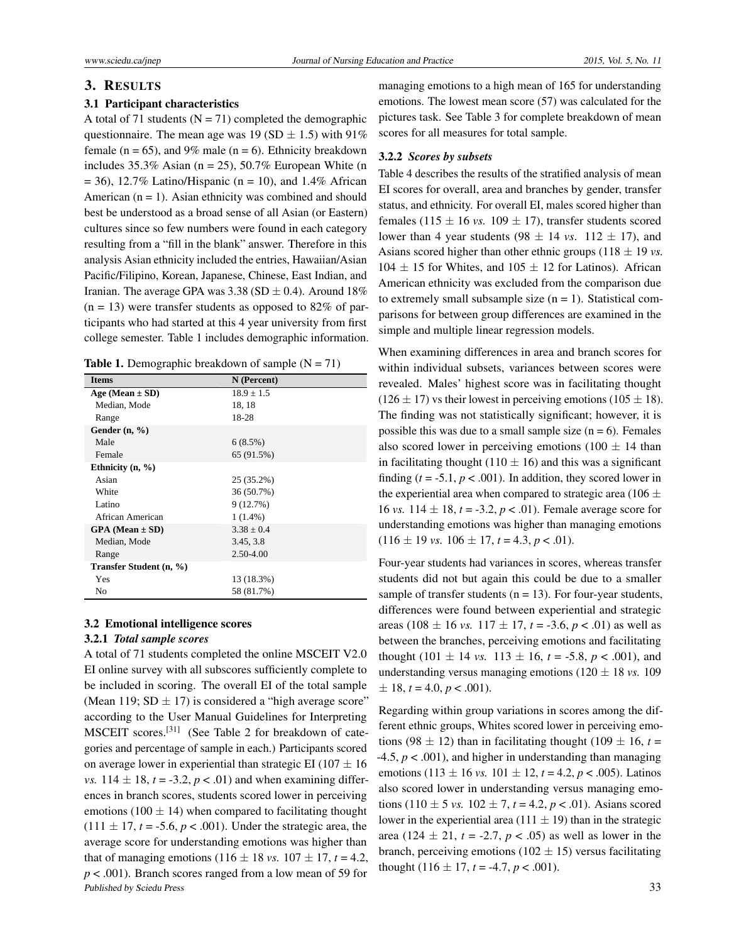#### 3. RESULTS

#### 3.1 Participant characteristics

A total of 71 students ( $N = 71$ ) completed the demographic questionnaire. The mean age was 19 (SD  $\pm$  1.5) with 91% female ( $n = 65$ ), and 9% male ( $n = 6$ ). Ethnicity breakdown includes  $35.3\%$  Asian (n = 25),  $50.7\%$  European White (n  $= 36$ ), 12.7% Latino/Hispanic (n = 10), and 1.4% African American  $(n = 1)$ . Asian ethnicity was combined and should best be understood as a broad sense of all Asian (or Eastern) cultures since so few numbers were found in each category resulting from a "fill in the blank" answer. Therefore in this analysis Asian ethnicity included the entries, Hawaiian/Asian Pacific/Filipino, Korean, Japanese, Chinese, East Indian, and Iranian. The average GPA was  $3.38$  (SD  $\pm$  0.4). Around 18%  $(n = 13)$  were transfer students as opposed to 82% of participants who had started at this 4 year university from first college semester. Table 1 includes demographic information.

**Table 1.** Demographic breakdown of sample  $(N = 71)$ 

| <b>Items</b>            | N (Percent)    |
|-------------------------|----------------|
| Age (Mean $\pm$ SD)     | $18.9 \pm 1.5$ |
| Median, Mode            | 18, 18         |
| Range                   | 18-28          |
| Gender $(n, %)$         |                |
| Male                    | 6(8.5%)        |
| Female                  | 65 (91.5%)     |
| Ethnicity $(n, %)$      |                |
| Asian                   | 25 (35.2%)     |
| White                   | 36 (50.7%)     |
| Latino                  | 9(12.7%)       |
| African American        | $1(1.4\%)$     |
| $GPA$ (Mean $\pm$ SD)   | $3.38 + 0.4$   |
| Median, Mode            | 3.45, 3.8      |
| Range                   | 2.50-4.00      |
| Transfer Student (n, %) |                |
| Yes                     | 13 (18.3%)     |
| No                      | 58 (81.7%)     |

# 3.2 Emotional intelligence scores

# 3.2.1 *Total sample scores*

A total of 71 students completed the online MSCEIT V2.0 EI online survey with all subscores sufficiently complete to be included in scoring. The overall EI of the total sample (Mean 119;  $SD \pm 17$ ) is considered a "high average score" according to the User Manual Guidelines for Interpreting MSCEIT scores.[\[31\]](#page-11-6) (See Table 2 for breakdown of categories and percentage of sample in each.) Participants scored on average lower in experiential than strategic EI (107  $\pm$  16) *vs.*  $114 \pm 18$ ,  $t = -3.2$ ,  $p < .01$ ) and when examining differences in branch scores, students scored lower in perceiving emotions (100  $\pm$  14) when compared to facilitating thought  $(111 \pm 17, t = -5.6, p < .001)$ . Under the strategic area, the average score for understanding emotions was higher than that of managing emotions (116  $\pm$  18 *vs.* 107  $\pm$  17, *t* = 4.2, *p* < .001). Branch scores ranged from a low mean of 59 for Published by Sciedu Press 33

managing emotions to a high mean of 165 for understanding emotions. The lowest mean score (57) was calculated for the pictures task. See Table 3 for complete breakdown of mean scores for all measures for total sample.

#### 3.2.2 *Scores by subsets*

Table 4 describes the results of the stratified analysis of mean EI scores for overall, area and branches by gender, transfer status, and ethnicity. For overall EI, males scored higher than females (115  $\pm$  16 *vs.* 109  $\pm$  17), transfer students scored lower than 4 year students (98  $\pm$  14 *vs.* 112  $\pm$  17), and Asians scored higher than other ethnic groups  $(118 \pm 19 \text{ vs.})$  $104 \pm 15$  for Whites, and  $105 \pm 12$  for Latinos). African American ethnicity was excluded from the comparison due to extremely small subsample size  $(n = 1)$ . Statistical comparisons for between group differences are examined in the simple and multiple linear regression models.

When examining differences in area and branch scores for within individual subsets, variances between scores were revealed. Males' highest score was in facilitating thought  $(126 \pm 17)$  vs their lowest in perceiving emotions  $(105 \pm 18)$ . The finding was not statistically significant; however, it is possible this was due to a small sample size  $(n = 6)$ . Females also scored lower in perceiving emotions (100  $\pm$  14 than in facilitating thought (110  $\pm$  16) and this was a significant finding  $(t = -5.1, p < .001)$ . In addition, they scored lower in the experiential area when compared to strategic area (106  $\pm$ 16 *vs.*  $114 \pm 18$ ,  $t = -3.2$ ,  $p < .01$ ). Female average score for understanding emotions was higher than managing emotions  $(116 \pm 19 \text{ vs. } 106 \pm 17, t = 4.3, p < .01).$ 

Four-year students had variances in scores, whereas transfer students did not but again this could be due to a smaller sample of transfer students ( $n = 13$ ). For four-year students, differences were found between experiential and strategic areas (108  $\pm$  16 *vs.* 117  $\pm$  17, *t* = -3.6, *p* < .01) as well as between the branches, perceiving emotions and facilitating thought (101  $\pm$  14 *vs.* 113  $\pm$  16, *t* = -5.8, *p* < .001), and understanding versus managing emotions  $(120 \pm 18 \text{ vs. } 109)$  $\pm$  18, *t* = 4.0, *p* < .001).

Regarding within group variations in scores among the different ethnic groups, Whites scored lower in perceiving emotions (98  $\pm$  12) than in facilitating thought (109  $\pm$  16, *t* =  $-4.5, p < .001$ ), and higher in understanding than managing emotions (113  $\pm$  16 *vs.* 101  $\pm$  12, *t* = 4.2, *p* < .005). Latinos also scored lower in understanding versus managing emotions  $(110 \pm 5 \text{ vs. } 102 \pm 7, t = 4.2, p < .01)$ . Asians scored lower in the experiential area (111  $\pm$  19) than in the strategic area (124  $\pm$  21, *t* = -2.7, *p* < .05) as well as lower in the branch, perceiving emotions (102  $\pm$  15) versus facilitating thought  $(116 \pm 17, t = -4.7, p < .001)$ .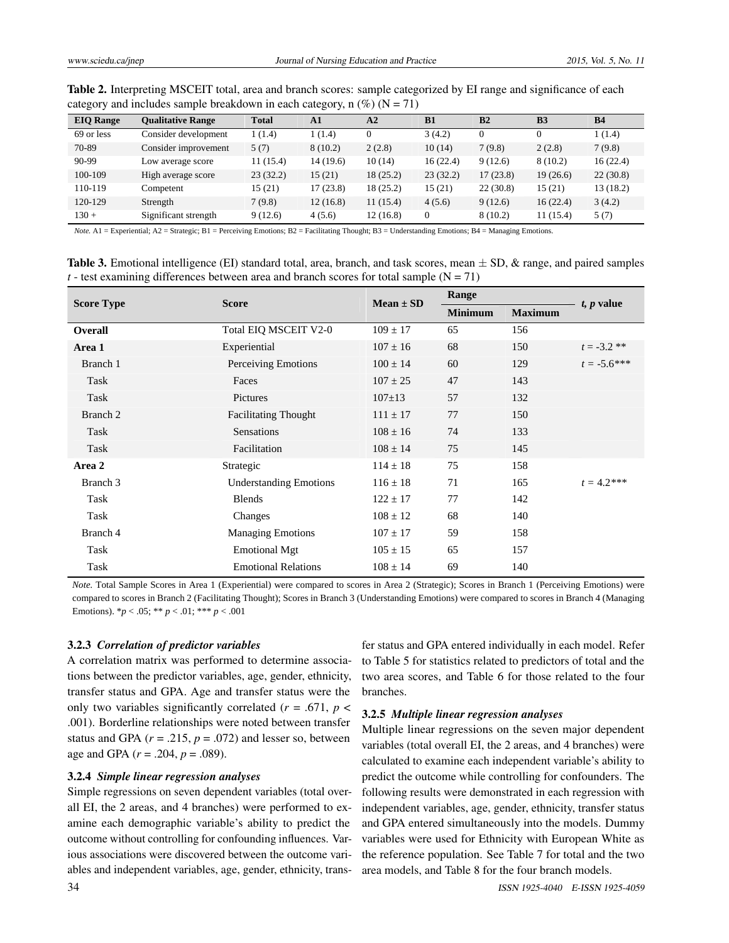| <b>EIO</b> Range | <b>Oualitative Range</b> | <b>Total</b> | ${\bf A1}$ | A <sub>2</sub> | B1           | B <sub>2</sub> | B <sub>3</sub> | <b>B4</b> |
|------------------|--------------------------|--------------|------------|----------------|--------------|----------------|----------------|-----------|
| 69 or less       | Consider development     | 1(1.4)       | 1(1.4)     |                | 3(4.2)       | $\mathbf{0}$   | 0              | 1(1.4)    |
| 70-89            | Consider improvement     | 5(7)         | 8(10.2)    | 2(2.8)         | 10(14)       | 7(9.8)         | 2(2.8)         | 7(9.8)    |
| 90-99            | Low average score        | 11(15.4)     | 14(19.6)   | 10(14)         | 16(22.4)     | 9(12.6)        | 8(10.2)        | 16(22.4)  |
| 100-109          | High average score       | 23(32.2)     | 15(21)     | 18(25.2)       | 23(32.2)     | 17(23.8)       | 19(26.6)       | 22(30.8)  |
| 110-119          | Competent                | 15(21)       | 17(23.8)   | 18(25.2)       | 15(21)       | 22(30.8)       | 15(21)         | 13 (18.2) |
| 120-129          | Strength                 | 7(9.8)       | 12(16.8)   | 11(15.4)       | 4(5.6)       | 9(12.6)        | 16(22.4)       | 3(4.2)    |
| $130 +$          | Significant strength     | 9(12.6)      | 4(5.6)     | 12 (16.8)      | $\mathbf{0}$ | 8(10.2)        | 11(15.4)       | 5(7)      |

Table 2. Interpreting MSCEIT total, area and branch scores: sample categorized by EI range and significance of each category and includes sample breakdown in each category, n  $(\%)(N = 71)$ 

*Note.* A1 = Experiential; A2 = Strategic; B1 = Perceiving Emotions; B2 = Facilitating Thought; B3 = Understanding Emotions; B4 = Managing Emotions.

**Table 3.** Emotional intelligence (EI) standard total, area, branch, and task scores, mean  $\pm$  SD,  $\&$  range, and paired samples  $t$  - test examining differences between area and branch scores for total sample ( $N = 71$ )

|                   | <b>Score</b>                  | $Mean \pm SD$ | Range          |                                                                                                                         |                 |
|-------------------|-------------------------------|---------------|----------------|-------------------------------------------------------------------------------------------------------------------------|-----------------|
| <b>Score Type</b> |                               |               | <b>Minimum</b> | <b>Maximum</b><br>156<br>150<br>129<br>143<br>132<br>150<br>133<br>145<br>158<br>165<br>142<br>140<br>158<br>157<br>140 | $t$ , $p$ value |
| Overall           | Total EIQ MSCEIT V2-0         | $109 \pm 17$  | 65             |                                                                                                                         |                 |
| Area 1            | Experiential                  | $107 \pm 16$  | 68             |                                                                                                                         | $t = -3.2$ **   |
| Branch 1          | Perceiving Emotions           | $100 \pm 14$  | 60             |                                                                                                                         | $t = -5.6$ ***  |
| Task              | Faces                         | $107 \pm 25$  | 47             |                                                                                                                         |                 |
| Task              | Pictures                      | $107 \pm 13$  | 57             |                                                                                                                         |                 |
| Branch 2          | <b>Facilitating Thought</b>   | $111 \pm 17$  | 77             |                                                                                                                         |                 |
| Task              | <b>Sensations</b>             | $108 \pm 16$  | 74             |                                                                                                                         |                 |
| Task              | Facilitation                  | $108 \pm 14$  | 75             |                                                                                                                         |                 |
| Area 2            | Strategic                     | $114 \pm 18$  | 75             |                                                                                                                         |                 |
| Branch 3          | <b>Understanding Emotions</b> | $116 \pm 18$  | 71             |                                                                                                                         | $t = 4.2$ ***   |
| Task              | <b>Blends</b>                 | $122 \pm 17$  | 77             |                                                                                                                         |                 |
| Task              | Changes                       | $108 \pm 12$  | 68             |                                                                                                                         |                 |
| Branch 4          | <b>Managing Emotions</b>      | $107 \pm 17$  | 59             |                                                                                                                         |                 |
| Task              | <b>Emotional Mgt</b>          | $105 \pm 15$  | 65             |                                                                                                                         |                 |
| Task              | <b>Emotional Relations</b>    | $108 \pm 14$  | 69             |                                                                                                                         |                 |

*Note.* Total Sample Scores in Area 1 (Experiential) were compared to scores in Area 2 (Strategic); Scores in Branch 1 (Perceiving Emotions) were compared to scores in Branch 2 (Facilitating Thought); Scores in Branch 3 (Understanding Emotions) were compared to scores in Branch 4 (Managing Emotions). \**p* < .05; \*\* *p* < .01; \*\*\* *p* < .001

#### 3.2.3 *Correlation of predictor variables*

A correlation matrix was performed to determine associations between the predictor variables, age, gender, ethnicity, transfer status and GPA. Age and transfer status were the only two variables significantly correlated  $(r = .671, p <$ .001). Borderline relationships were noted between transfer status and GPA  $(r = .215, p = .072)$  and lesser so, between age and GPA (*r* = .204, *p* = .089).

#### 3.2.4 *Simple linear regression analyses*

Simple regressions on seven dependent variables (total overall EI, the 2 areas, and 4 branches) were performed to examine each demographic variable's ability to predict the outcome without controlling for confounding influences. Various associations were discovered between the outcome variables and independent variables, age, gender, ethnicity, transfer status and GPA entered individually in each model. Refer to Table 5 for statistics related to predictors of total and the two area scores, and Table 6 for those related to the four branches.

## 3.2.5 *Multiple linear regression analyses*

Multiple linear regressions on the seven major dependent variables (total overall EI, the 2 areas, and 4 branches) were calculated to examine each independent variable's ability to predict the outcome while controlling for confounders. The following results were demonstrated in each regression with independent variables, age, gender, ethnicity, transfer status and GPA entered simultaneously into the models. Dummy variables were used for Ethnicity with European White as the reference population. See Table 7 for total and the two area models, and Table 8 for the four branch models.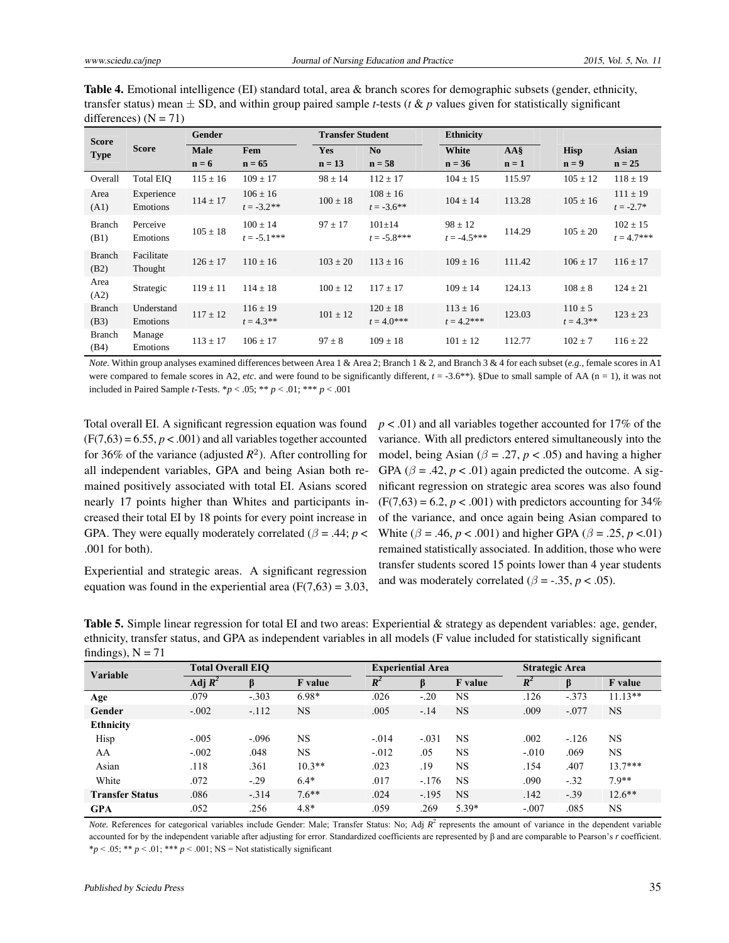Table 4. Emotional intelligence (EI) standard total, area & branch scores for demographic subsets (gender, ethnicity, transfer status) mean  $\pm$  SD, and within group paired sample *t*-tests (*t* & *p* values given for statistically significant differences)  $(N = 71)$ 

| <b>Score</b>          |                        | Gender       |                                | <b>Transfer Student</b> |                                | <b>Ethnicity</b>              |                 |                             |                               |
|-----------------------|------------------------|--------------|--------------------------------|-------------------------|--------------------------------|-------------------------------|-----------------|-----------------------------|-------------------------------|
| <b>Type</b>           | <b>Score</b>           | Male         | Fem                            | Yes                     | No                             | White                         | AA <sub>s</sub> | <b>Hisp</b>                 | Asian                         |
|                       |                        | $n = 6$      | $n = 65$                       | $n = 13$                | $n = 58$                       | $n = 36$                      | $n = 1$         | $n = 9$                     | $n = 25$                      |
| Overall               | Total EIO              | $115 \pm 16$ | $109 \pm 17$                   | $98 \pm 14$             | $112 \pm 17$                   | $104 \pm 15$                  | 115.97          | $105 \pm 12$                | $118 \pm 19$                  |
| Area<br>(A1)          | Experience<br>Emotions | $114 \pm 17$ | $106 \pm 16$<br>$t = -3.2$ **  | $100 \pm 18$            | $108 \pm 16$<br>$t = -3.6$ **  | $104 \pm 14$                  | 113.28          | $105 \pm 16$                | $111 \pm 19$<br>$t = -2.7*$   |
| <b>Branch</b><br>(B1) | Perceive<br>Emotions   | $105 \pm 18$ | $100 \pm 14$<br>$t = -5.1$ *** | $97 \pm 17$             | $101 \pm 14$<br>$t = -5.8$ *** | $98 \pm 12$<br>$t = -4.5***$  | 114.29          | $105 \pm 20$                | $102 \pm 15$<br>$t = 4.7$ *** |
| <b>Branch</b><br>(B2) | Facilitate<br>Thought  | $126 \pm 17$ | $110 \pm 16$                   | $103 \pm 20$            | $113 \pm 16$                   | $109 \pm 16$                  | 111.42          | $106 \pm 17$                | $116 \pm 17$                  |
| Area<br>(A2)          | Strategic              | $119 \pm 11$ | $114 \pm 18$                   | $100 \pm 12$            | $117 \pm 17$                   | $109 \pm 14$                  | 124.13          | $108 \pm 8$                 | $124 \pm 21$                  |
| <b>Branch</b><br>(B3) | Understand<br>Emotions | $117 \pm 12$ | $116 \pm 19$<br>$t = 4.3$ **   | $101 \pm 12$            | $120 \pm 18$<br>$t = 4.0$ ***  | $113 \pm 16$<br>$t = 4.2$ *** | 123.03          | $110 \pm 5$<br>$t = 4.3$ ** | $123 \pm 23$                  |
| <b>Branch</b><br>(B4) | Manage<br>Emotions     | $113 \pm 17$ | $106 \pm 17$                   | $97 \pm 8$              | $109 \pm 18$                   | $101 \pm 12$                  | 112.77          | $102 \pm 7$                 | $116 \pm 22$                  |

*Note.* Within group analyses examined differences between Area 1 & Area 2; Branch 1 & 2, and Branch 3 & 4 for each subset (*e.g.*, female scores in A1 were compared to female scores in A2, *etc*. and were found to be significantly different,  $t = -3.6**$ ). §Due to small sample of AA (n = 1), it was not included in Paired Sample *t*-Tests.  ${}^*p$  < .05;  ${}^{**}p$  < .01;  ${}^{***}p$  < .001

Total overall EI. A significant regression equation was found  $(F(7,63) = 6.55, p < .001)$  and all variables together accounted for 36% of the variance (adjusted  $R^2$ ). After controlling for all independent variables, GPA and being Asian both remained positively associated with total EI. Asians scored nearly 17 points higher than Whites and participants increased their total EI by 18 points for every point increase in GPA. They were equally moderately correlated ( $\beta$  = .44; *p* < .001 for both).

Experiential and strategic areas. A significant regression equation was found in the experiential area  $(F(7,63) = 3.03,$  *p* < .01) and all variables together accounted for 17% of the variance. With all predictors entered simultaneously into the model, being Asian ( $\beta$  = .27,  $p$  < .05) and having a higher GPA ( $\beta$  = .42,  $p < .01$ ) again predicted the outcome. A significant regression on strategic area scores was also found  $(F(7,63) = 6.2, p < .001)$  with predictors accounting for 34% of the variance, and once again being Asian compared to White ( $\beta = .46$ ,  $p < .001$ ) and higher GPA ( $\beta = .25$ ,  $p < .01$ ) remained statistically associated. In addition, those who were transfer students scored 15 points lower than 4 year students and was moderately correlated ( $\beta$  = -.35,  $p$  < .05).

Table 5. Simple linear regression for total EI and two areas: Experiential & strategy as dependent variables: age, gender, ethnicity, transfer status, and GPA as independent variables in all models (F value included for statistically significant findings),  $N = 71$ 

| <b>Variable</b>        |           | <b>Total Overall EIO</b> |                |          |         | <b>Experiential Area</b> |         | <b>Strategic Area</b> |           |  |
|------------------------|-----------|--------------------------|----------------|----------|---------|--------------------------|---------|-----------------------|-----------|--|
|                        | Adj $R^2$ | β                        | <b>F</b> value | $R^2$    | β       | <b>F</b> value           | $R^2$   |                       | F value   |  |
| Age                    | .079      | $-.303$                  | 6.98*          | .026     | $-.20$  | <b>NS</b>                | .126    | $-373$                | $11.13**$ |  |
| Gender                 | $-.002$   | $-.112$                  | <b>NS</b>      | .005     | $-.14$  | <b>NS</b>                | .009    | $-.077$               | <b>NS</b> |  |
| <b>Ethnicity</b>       |           |                          |                |          |         |                          |         |                       |           |  |
| Hisp                   | $-.005$   | $-.096$                  | NS             | $-.014$  | $-.031$ | <b>NS</b>                | .002    | $-.126$               | <b>NS</b> |  |
| AA                     | $-.002$   | .048                     | <b>NS</b>      | $-0.012$ | .05     | <b>NS</b>                | $-.010$ | .069                  | <b>NS</b> |  |
| Asian                  | .118      | .361                     | $10.3**$       | .023     | .19     | <b>NS</b>                | .154    | .407                  | $13.7***$ |  |
| White                  | .072      | $-.29$                   | $6.4*$         | .017     | $-.176$ | <b>NS</b>                | .090    | $-.32$                | $7.9**$   |  |
| <b>Transfer Status</b> | .086      | $-.314$                  | $7.6***$       | .024     | $-.195$ | <b>NS</b>                | .142    | $-.39$                | $12.6**$  |  |
| <b>GPA</b>             | .052      | .256                     | $4.8*$         | .059     | 269     | 5.39*                    | $-.007$ | .085                  | <b>NS</b> |  |

*Note*. References for categorical variables include Gender: Male; Transfer Status: No; Adj  $R^2$  represents the amount of variance in the dependent variable accounted for by the independent variable after adjusting for error. Standardized coefficients are represented by β and are comparable to Pearson's *r* coefficient.  $**p* < .05; ** *p* < .01; *** *p* < .001; NS = Not statistically significant$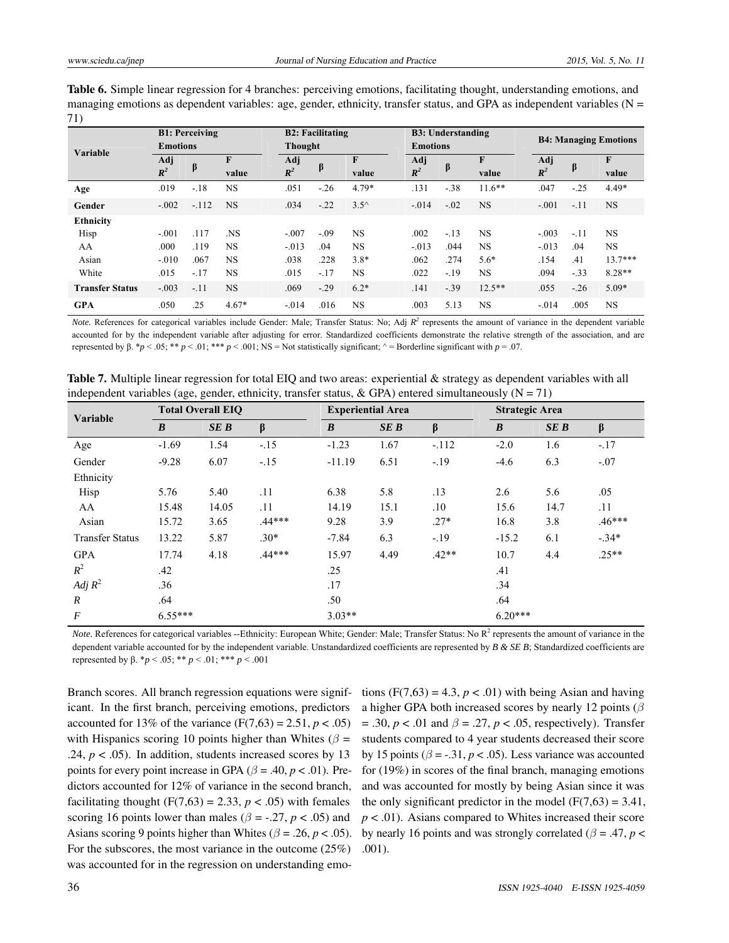| <b>Table 6.</b> Simple linear regression for 4 branches: perceiving emotions, facilitating thought, understanding emotions, and |
|---------------------------------------------------------------------------------------------------------------------------------|
| managing emotions as dependent variables: age, gender, ethnicity, transfer status, and GPA as independent variables ( $N =$     |
| 71)                                                                                                                             |

| Variable               | <b>B1: Perceiving</b><br><b>Emotions</b> |         |                |                       | <b>B2: Facilitating</b><br>Thought |                |                       | <b>B3: Understanding</b><br><b>Emotions</b> |                       |                       | <b>B4: Managing Emotions</b> |            |  |
|------------------------|------------------------------------------|---------|----------------|-----------------------|------------------------------------|----------------|-----------------------|---------------------------------------------|-----------------------|-----------------------|------------------------------|------------|--|
|                        | Adj<br>$\mathbb{R}^2$                    | β       | F<br>value     | Adj<br>$\mathbb{R}^2$ | $\beta$                            | F<br>value     | Adj<br>$\mathbb{R}^2$ | β                                           | $\mathbf{F}$<br>value | Adj<br>$\mathbb{R}^2$ | β                            | F<br>value |  |
| Age                    | .019                                     | $-.18$  | <b>NS</b>      | .051                  | $-.26$                             | $4.79*$        | .131                  | $-38$                                       | $11.6**$              | .047                  | $-25$                        | $4.49*$    |  |
| Gender                 | $-.002$                                  | $-.112$ | <b>NS</b>      | .034                  | $-.22$                             | $3.5^{\wedge}$ | $-.014$               | $-.02$                                      | <b>NS</b>             | $-.001$               | $-11$                        | <b>NS</b>  |  |
| Ethnicity              |                                          |         |                |                       |                                    |                |                       |                                             |                       |                       |                              |            |  |
| Hisp                   | $-.001$                                  | .117    | N <sub>S</sub> | $-.007$               | $-.09$                             | <b>NS</b>      | .002                  | $-.13$                                      | <b>NS</b>             | $-.003$               | $-.11$                       | <b>NS</b>  |  |
| AA                     | .000                                     | .119    | <b>NS</b>      | $-.013$               | .04                                | <b>NS</b>      | $-.013$               | .044                                        | <b>NS</b>             | $-.013$               | .04                          | <b>NS</b>  |  |
| Asian                  | $-.010$                                  | .067    | <b>NS</b>      | .038                  | .228                               | $3.8*$         | .062                  | .274                                        | $5.6*$                | .154                  | .41                          | $13.7***$  |  |
| White                  | .015                                     | $-17$   | <b>NS</b>      | .015                  | $-.17$                             | <b>NS</b>      | .022                  | $-.19$                                      | <b>NS</b>             | .094                  | $-.33$                       | $8.28**$   |  |
| <b>Transfer Status</b> | $-.003$                                  | $-.11$  | <b>NS</b>      | .069                  | $-.29$                             | $6.2*$         | .141                  | $-.39$                                      | $12.5**$              | .055                  | $-.26$                       | $5.09*$    |  |
| <b>GPA</b>             | .050                                     | .25     | $4.67*$        | $-.014$               | .016                               | <b>NS</b>      | .003                  | 5.13                                        | <b>NS</b>             | $-.014$               | .005                         | <b>NS</b>  |  |

*Note.* References for categorical variables include Gender: Male; Transfer Status: No; Adj  $R^2$  represents the amount of variance in the dependent variable accounted for by the independent variable after adjusting for error. Standardized coefficients demonstrate the relative strength of the association, and are represented by β. \**p* < .05; \*\* *p* < .01; \*\*\* *p* < .001; NS = Not statistically significant;  $\land$  = Borderline significant with *p* = .07.

| Variable               |                  | <b>Total Overall EIO</b> |          |                  | <b>Experiential Area</b> |         |                  | <b>Strategic Area</b> |          |  |  |
|------------------------|------------------|--------------------------|----------|------------------|--------------------------|---------|------------------|-----------------------|----------|--|--|
|                        | $\boldsymbol{B}$ | SEB                      | β        | $\boldsymbol{B}$ | SEB                      | $\beta$ | $\boldsymbol{B}$ | SEB                   | $\beta$  |  |  |
| Age                    | $-1.69$          | 1.54                     | $-.15$   | $-1.23$          | 1.67                     | $-.112$ | $-2.0$           | 1.6                   | $-.17$   |  |  |
| Gender                 | $-9.28$          | 6.07                     | $-.15$   | $-11.19$         | 6.51                     | $-.19$  | $-4.6$           | 6.3                   | $-.07$   |  |  |
| Ethnicity              |                  |                          |          |                  |                          |         |                  |                       |          |  |  |
| Hisp                   | 5.76             | 5.40                     | .11      | 6.38             | 5.8                      | .13     | 2.6              | 5.6                   | .05      |  |  |
| AA                     | 15.48            | 14.05                    | .11      | 14.19            | 15.1                     | $.10\,$ | 15.6             | 14.7                  | .11      |  |  |
| Asian                  | 15.72            | 3.65                     | $.44***$ | 9.28             | 3.9                      | $.27*$  | 16.8             | 3.8                   | $.46***$ |  |  |
| <b>Transfer Status</b> | 13.22            | 5.87                     | $.30*$   | $-7.84$          | 6.3                      | $-.19$  | $-15.2$          | 6.1                   | $-.34*$  |  |  |
| <b>GPA</b>             | 17.74            | 4.18                     | $.44***$ | 15.97            | 4.49                     | $.42**$ | 10.7             | 4.4                   | $.25**$  |  |  |
| $R^2$                  | .42              |                          |          | .25              |                          |         | .41              |                       |          |  |  |
| Adj $R^2$              | .36              |                          |          | .17              |                          |         | .34              |                       |          |  |  |
| $\boldsymbol{R}$       | .64              |                          |          | .50              |                          |         | .64              |                       |          |  |  |
| $\boldsymbol{F}$       | $6.55***$        |                          |          | $3.03**$         |                          |         | $6.20***$        |                       |          |  |  |

Table 7. Multiple linear regression for total EIQ and two areas: experiential & strategy as dependent variables with all independent variables (age, gender, ethnicity, transfer status, & GPA) entered simultaneously ( $N = 71$ )

Note. References for categorical variables --Ethnicity: European White; Gender: Male; Transfer Status: No R<sup>2</sup> represents the amount of variance in the dependent variable accounted for by the independent variable. Unstandardized coefficients are represented by *B & SE B*; Standardized coefficients are represented by β. \**p* < .05; \*\* *p* < .01; \*\*\* *p* < .001

Branch scores. All branch regression equations were significant. In the first branch, perceiving emotions, predictors accounted for 13% of the variance  $(F(7,63) = 2.51, p < .05)$ with Hispanics scoring 10 points higher than Whites ( $\beta$  = .24,  $p < .05$ ). In addition, students increased scores by 13 points for every point increase in GPA ( $\beta$  = .40,  $p$  < .01). Predictors accounted for 12% of variance in the second branch, facilitating thought  $(F(7,63) = 2.33, p < .05)$  with females scoring 16 points lower than males ( $\beta$  = -.27,  $p$  < .05) and Asians scoring 9 points higher than Whites ( $\beta$  = .26, *p* < .05). For the subscores, the most variance in the outcome (25%) was accounted for in the regression on understanding emotions  $(F(7,63) = 4.3, p < .01)$  with being Asian and having a higher GPA both increased scores by nearly 12 points (*β* = .30, *p* < .01 and *β* = .27, *p* < .05, respectively). Transfer students compared to 4 year students decreased their score by 15 points ( $\beta$  = -.31,  $p < .05$ ). Less variance was accounted for (19%) in scores of the final branch, managing emotions and was accounted for mostly by being Asian since it was the only significant predictor in the model  $(F(7,63) = 3.41,$ *p* < .01). Asians compared to Whites increased their score by nearly 16 points and was strongly correlated ( $\beta$  = .47, *p* < .001).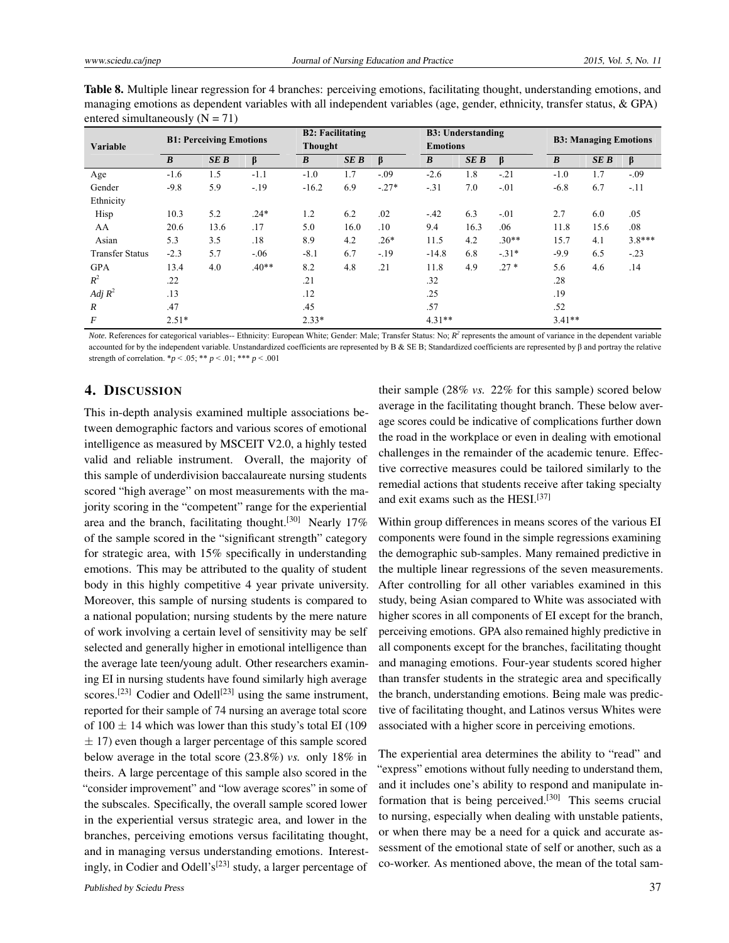| <b>Table 8.</b> Multiple linear regression for 4 branches: perceiving emotions, facilitating thought, understanding emotions, and |
|-----------------------------------------------------------------------------------------------------------------------------------|
| managing emotions as dependent variables with all independent variables (age, gender, ethnicity, transfer status, $\&$ GPA)       |
| entered simultaneously ( $N = 71$ )                                                                                               |

| <b>Variable</b>        | <b>B1: Perceiving Emotions</b> |      |         |                  | <b>B2: Facilitating</b><br><b>Thought</b> |         |                  | <b>B3: Understanding</b><br><b>Emotions</b> |         |          | <b>B3: Managing Emotions</b> |          |  |
|------------------------|--------------------------------|------|---------|------------------|-------------------------------------------|---------|------------------|---------------------------------------------|---------|----------|------------------------------|----------|--|
|                        | $\boldsymbol{B}$               | SEB  | β       | $\boldsymbol{B}$ | <b>SEB</b>                                | β       | $\boldsymbol{B}$ | <b>SEB</b>                                  | β       | B        | <b>SEB</b>                   | β        |  |
| Age                    | $-1.6$                         | 1.5  | $-1.1$  | $-1.0$           | 1.7                                       | $-.09$  | $-2.6$           | 1.8                                         | $-21$   | $-1.0$   | 1.7                          | $-.09$   |  |
| Gender                 | $-9.8$                         | 5.9  | $-.19$  | $-16.2$          | 6.9                                       | $-.27*$ | $-31$            | 7.0                                         | $-.01$  | $-6.8$   | 6.7                          | $-.11$   |  |
| Ethnicity              |                                |      |         |                  |                                           |         |                  |                                             |         |          |                              |          |  |
| Hisp                   | 10.3                           | 5.2  | $.24*$  | 1.2              | 6.2                                       | .02     | $-.42$           | 6.3                                         | $-.01$  | 2.7      | 6.0                          | .05      |  |
| AA                     | 20.6                           | 13.6 | .17     | 5.0              | 16.0                                      | .10     | 9.4              | 16.3                                        | .06     | 11.8     | 15.6                         | .08      |  |
| Asian                  | 5.3                            | 3.5  | .18     | 8.9              | 4.2                                       | $.26*$  | 11.5             | 4.2                                         | $.30**$ | 15.7     | 4.1                          | $3.8***$ |  |
| <b>Transfer Status</b> | $-2.3$                         | 5.7  | $-.06$  | $-8.1$           | 6.7                                       | $-19$   | $-14.8$          | 6.8                                         | $-.31*$ | $-9.9$   | 6.5                          | $-.23$   |  |
| <b>GPA</b>             | 13.4                           | 4.0  | $.40**$ | 8.2              | 4.8                                       | .21     | 11.8             | 4.9                                         | $.27*$  | 5.6      | 4.6                          | .14      |  |
| $R^2$                  | .22                            |      |         | .21              |                                           |         | .32              |                                             |         | .28      |                              |          |  |
| Adj $R^2$              | .13                            |      |         | .12              |                                           |         | .25              |                                             |         | .19      |                              |          |  |
| $\mathcal{R}$          | .47                            |      |         | .45              |                                           |         | .57              |                                             |         | .52      |                              |          |  |
| F                      | $2.51*$                        |      |         | $2.33*$          |                                           |         | $4.31**$         |                                             |         | $3.41**$ |                              |          |  |

*Note*. References for categorical variables-- Ethnicity: European White; Gender: Male; Transfer Status: No;  $R^2$  represents the amount of variance in the dependent variable accounted for by the independent variable. Unstandardized coefficients are represented by Β & SE B; Standardized coefficients are represented by β and portray the relative strength of correlation.  ${}^*p < .05$ ;  ${}^{**}p < .01$ ;  ${}^{***}p < .001$ 

# 4. DISCUSSION

This in-depth analysis examined multiple associations between demographic factors and various scores of emotional intelligence as measured by MSCEIT V2.0, a highly tested valid and reliable instrument. Overall, the majority of this sample of underdivision baccalaureate nursing students scored "high average" on most measurements with the majority scoring in the "competent" range for the experiential area and the branch, facilitating thought.<sup>[\[30\]](#page-11-10)</sup> Nearly 17% of the sample scored in the "significant strength" category for strategic area, with 15% specifically in understanding emotions. This may be attributed to the quality of student body in this highly competitive 4 year private university. Moreover, this sample of nursing students is compared to a national population; nursing students by the mere nature of work involving a certain level of sensitivity may be self selected and generally higher in emotional intelligence than the average late teen/young adult. Other researchers examining EI in nursing students have found similarly high average scores.<sup>[\[23\]](#page-11-17)</sup> Codier and Odell<sup>[23]</sup> using the same instrument, reported for their sample of 74 nursing an average total score of  $100 \pm 14$  which was lower than this study's total EI (109)  $\pm$  17) even though a larger percentage of this sample scored below average in the total score (23.8%) *vs.* only 18% in theirs. A large percentage of this sample also scored in the "consider improvement" and "low average scores" in some of the subscales. Specifically, the overall sample scored lower in the experiential versus strategic area, and lower in the branches, perceiving emotions versus facilitating thought, and in managing versus understanding emotions. Interest-ingly, in Codier and Odell's<sup>[\[23\]](#page-11-17)</sup> study, a larger percentage of

their sample (28% *vs.* 22% for this sample) scored below average in the facilitating thought branch. These below average scores could be indicative of complications further down the road in the workplace or even in dealing with emotional challenges in the remainder of the academic tenure. Effective corrective measures could be tailored similarly to the remedial actions that students receive after taking specialty and exit exams such as the HESI.[\[37\]](#page-12-4)

Within group differences in means scores of the various EI components were found in the simple regressions examining the demographic sub-samples. Many remained predictive in the multiple linear regressions of the seven measurements. After controlling for all other variables examined in this study, being Asian compared to White was associated with higher scores in all components of EI except for the branch, perceiving emotions. GPA also remained highly predictive in all components except for the branches, facilitating thought and managing emotions. Four-year students scored higher than transfer students in the strategic area and specifically the branch, understanding emotions. Being male was predictive of facilitating thought, and Latinos versus Whites were associated with a higher score in perceiving emotions.

The experiential area determines the ability to "read" and "express" emotions without fully needing to understand them, and it includes one's ability to respond and manipulate in-formation that is being perceived.<sup>[\[30\]](#page-11-10)</sup> This seems crucial to nursing, especially when dealing with unstable patients, or when there may be a need for a quick and accurate assessment of the emotional state of self or another, such as a co-worker. As mentioned above, the mean of the total sam-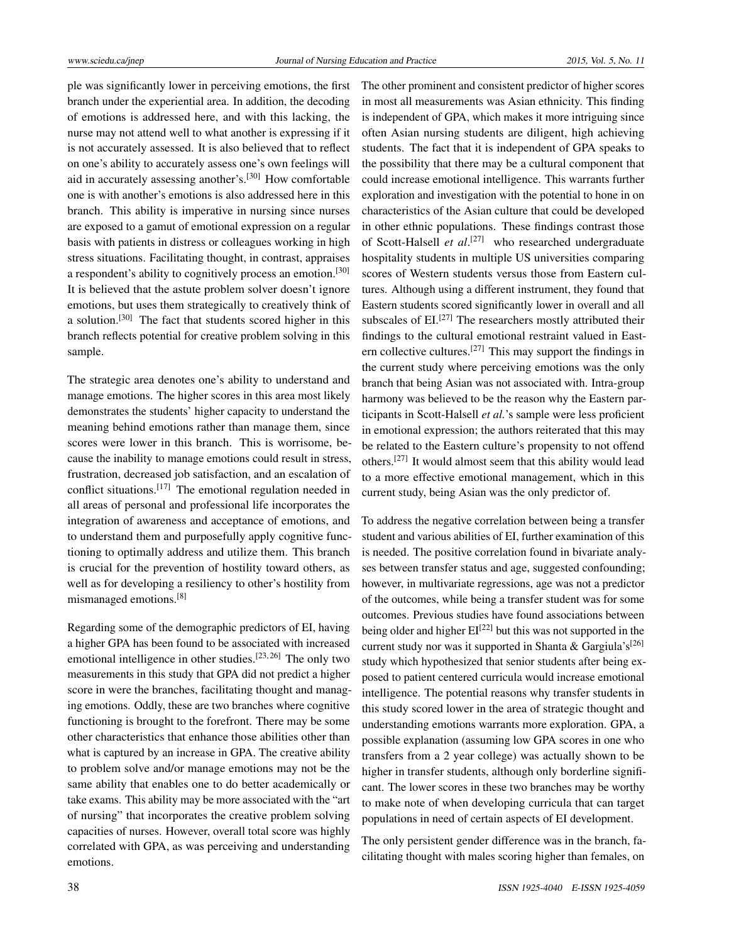ple was significantly lower in perceiving emotions, the first branch under the experiential area. In addition, the decoding of emotions is addressed here, and with this lacking, the nurse may not attend well to what another is expressing if it is not accurately assessed. It is also believed that to reflect on one's ability to accurately assess one's own feelings will aid in accurately assessing another's.<sup>[\[30\]](#page-11-10)</sup> How comfortable one is with another's emotions is also addressed here in this branch. This ability is imperative in nursing since nurses are exposed to a gamut of emotional expression on a regular basis with patients in distress or colleagues working in high stress situations. Facilitating thought, in contrast, appraises a respondent's ability to cognitively process an emotion.[\[30\]](#page-11-10) It is believed that the astute problem solver doesn't ignore emotions, but uses them strategically to creatively think of a solution.[\[30\]](#page-11-10) The fact that students scored higher in this branch reflects potential for creative problem solving in this sample.

The strategic area denotes one's ability to understand and manage emotions. The higher scores in this area most likely demonstrates the students' higher capacity to understand the meaning behind emotions rather than manage them, since scores were lower in this branch. This is worrisome, because the inability to manage emotions could result in stress, frustration, decreased job satisfaction, and an escalation of conflict situations.[\[17\]](#page-11-11) The emotional regulation needed in all areas of personal and professional life incorporates the integration of awareness and acceptance of emotions, and to understand them and purposefully apply cognitive functioning to optimally address and utilize them. This branch is crucial for the prevention of hostility toward others, as well as for developing a resiliency to other's hostility from mismanaged emotions.[\[8\]](#page-11-3)

Regarding some of the demographic predictors of EI, having a higher GPA has been found to be associated with increased emotional intelligence in other studies.<sup>[\[23,](#page-11-17) [26\]](#page-11-21)</sup> The only two measurements in this study that GPA did not predict a higher score in were the branches, facilitating thought and managing emotions. Oddly, these are two branches where cognitive functioning is brought to the forefront. There may be some other characteristics that enhance those abilities other than what is captured by an increase in GPA. The creative ability to problem solve and/or manage emotions may not be the same ability that enables one to do better academically or take exams. This ability may be more associated with the "art of nursing" that incorporates the creative problem solving capacities of nurses. However, overall total score was highly correlated with GPA, as was perceiving and understanding emotions.

The other prominent and consistent predictor of higher scores in most all measurements was Asian ethnicity. This finding is independent of GPA, which makes it more intriguing since often Asian nursing students are diligent, high achieving students. The fact that it is independent of GPA speaks to the possibility that there may be a cultural component that could increase emotional intelligence. This warrants further exploration and investigation with the potential to hone in on characteristics of the Asian culture that could be developed in other ethnic populations. These findings contrast those of Scott-Halsell *et al*. [\[27\]](#page-11-22) who researched undergraduate hospitality students in multiple US universities comparing scores of Western students versus those from Eastern cultures. Although using a different instrument, they found that Eastern students scored significantly lower in overall and all subscales of  $EI$ <sup>[\[27\]](#page-11-22)</sup> The researchers mostly attributed their findings to the cultural emotional restraint valued in East-ern collective cultures.<sup>[\[27\]](#page-11-22)</sup> This may support the findings in the current study where perceiving emotions was the only branch that being Asian was not associated with. Intra-group harmony was believed to be the reason why the Eastern participants in Scott-Halsell *et al.*'s sample were less proficient in emotional expression; the authors reiterated that this may be related to the Eastern culture's propensity to not offend others.<sup>[\[27\]](#page-11-22)</sup> It would almost seem that this ability would lead to a more effective emotional management, which in this current study, being Asian was the only predictor of.

To address the negative correlation between being a transfer student and various abilities of EI, further examination of this is needed. The positive correlation found in bivariate analyses between transfer status and age, suggested confounding; however, in multivariate regressions, age was not a predictor of the outcomes, while being a transfer student was for some outcomes. Previous studies have found associations between being older and higher  $EI^{[22]}$  $EI^{[22]}$  $EI^{[22]}$  but this was not supported in the current study nor was it supported in Shanta & Gargiula's<sup>[\[26\]](#page-11-21)</sup> study which hypothesized that senior students after being exposed to patient centered curricula would increase emotional intelligence. The potential reasons why transfer students in this study scored lower in the area of strategic thought and understanding emotions warrants more exploration. GPA, a possible explanation (assuming low GPA scores in one who transfers from a 2 year college) was actually shown to be higher in transfer students, although only borderline significant. The lower scores in these two branches may be worthy to make note of when developing curricula that can target populations in need of certain aspects of EI development.

The only persistent gender difference was in the branch, facilitating thought with males scoring higher than females, on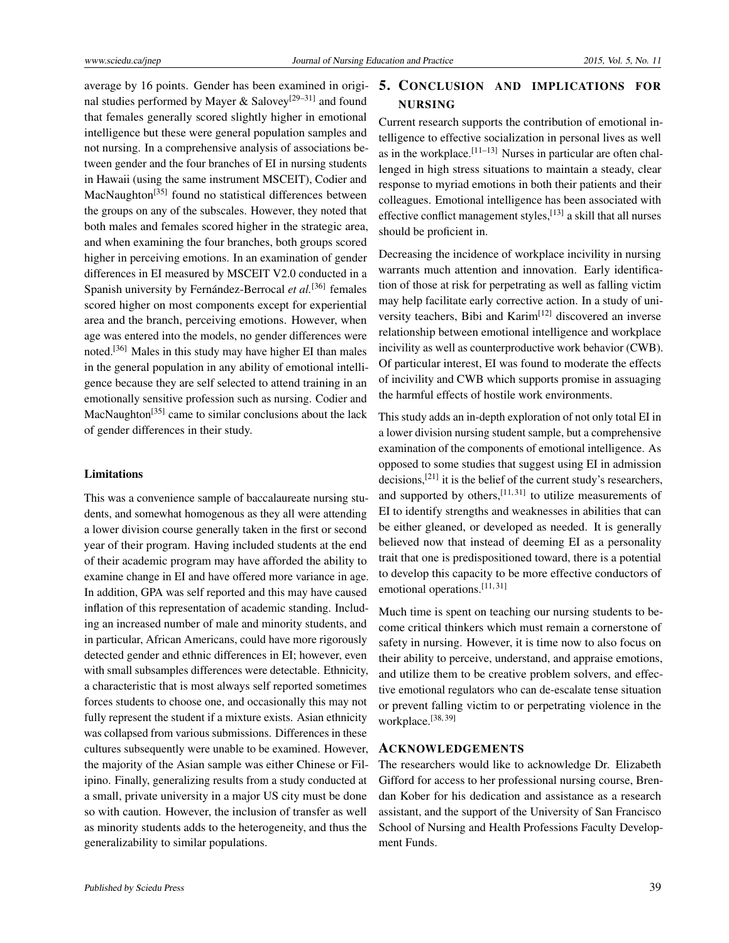average by 16 points. Gender has been examined in origi-nal studies performed by Mayer & Salovey<sup>[\[29–](#page-11-9)[31\]](#page-11-6)</sup> and found that females generally scored slightly higher in emotional intelligence but these were general population samples and not nursing. In a comprehensive analysis of associations between gender and the four branches of EI in nursing students in Hawaii (using the same instrument MSCEIT), Codier and MacNaughton<sup>[\[35\]](#page-12-5)</sup> found no statistical differences between the groups on any of the subscales. However, they noted that both males and females scored higher in the strategic area, and when examining the four branches, both groups scored higher in perceiving emotions. In an examination of gender differences in EI measured by MSCEIT V2.0 conducted in a Spanish university by Fernández-Berrocal et al.<sup>[\[36\]](#page-12-3)</sup> females scored higher on most components except for experiential area and the branch, perceiving emotions. However, when age was entered into the models, no gender differences were noted.[\[36\]](#page-12-3) Males in this study may have higher EI than males in the general population in any ability of emotional intelligence because they are self selected to attend training in an emotionally sensitive profession such as nursing. Codier and MacNaughton<sup>[\[35\]](#page-12-5)</sup> came to similar conclusions about the lack of gender differences in their study.

#### Limitations

This was a convenience sample of baccalaureate nursing students, and somewhat homogenous as they all were attending a lower division course generally taken in the first or second year of their program. Having included students at the end of their academic program may have afforded the ability to examine change in EI and have offered more variance in age. In addition, GPA was self reported and this may have caused inflation of this representation of academic standing. Including an increased number of male and minority students, and in particular, African Americans, could have more rigorously detected gender and ethnic differences in EI; however, even with small subsamples differences were detectable. Ethnicity, a characteristic that is most always self reported sometimes forces students to choose one, and occasionally this may not fully represent the student if a mixture exists. Asian ethnicity was collapsed from various submissions. Differences in these cultures subsequently were unable to be examined. However, the majority of the Asian sample was either Chinese or Filipino. Finally, generalizing results from a study conducted at a small, private university in a major US city must be done so with caution. However, the inclusion of transfer as well as minority students adds to the heterogeneity, and thus the generalizability to similar populations.

# 5. CONCLUSION AND IMPLICATIONS FOR NURSING

Current research supports the contribution of emotional intelligence to effective socialization in personal lives as well as in the workplace.[\[11](#page-11-23)[–13\]](#page-11-7) Nurses in particular are often challenged in high stress situations to maintain a steady, clear response to myriad emotions in both their patients and their colleagues. Emotional intelligence has been associated with effective conflict management styles,<sup>[\[13\]](#page-11-7)</sup> a skill that all nurses should be proficient in.

Decreasing the incidence of workplace incivility in nursing warrants much attention and innovation. Early identification of those at risk for perpetrating as well as falling victim may help facilitate early corrective action. In a study of uni-versity teachers, Bibi and Karim<sup>[\[12\]](#page-11-19)</sup> discovered an inverse relationship between emotional intelligence and workplace incivility as well as counterproductive work behavior (CWB). Of particular interest, EI was found to moderate the effects of incivility and CWB which supports promise in assuaging the harmful effects of hostile work environments.

This study adds an in-depth exploration of not only total EI in a lower division nursing student sample, but a comprehensive examination of the components of emotional intelligence. As opposed to some studies that suggest using EI in admission decisions, $[21]$  it is the belief of the current study's researchers, and supported by others,  $[11, 31]$  $[11, 31]$  $[11, 31]$  to utilize measurements of EI to identify strengths and weaknesses in abilities that can be either gleaned, or developed as needed. It is generally believed now that instead of deeming EI as a personality trait that one is predispositioned toward, there is a potential to develop this capacity to be more effective conductors of emotional operations.<sup>[\[11,](#page-11-23)[31\]](#page-11-6)</sup>

Much time is spent on teaching our nursing students to become critical thinkers which must remain a cornerstone of safety in nursing. However, it is time now to also focus on their ability to perceive, understand, and appraise emotions, and utilize them to be creative problem solvers, and effective emotional regulators who can de-escalate tense situation or prevent falling victim to or perpetrating violence in the workplace.[\[38,](#page-12-6) [39\]](#page-12-7)

#### ACKNOWLEDGEMENTS

The researchers would like to acknowledge Dr. Elizabeth Gifford for access to her professional nursing course, Brendan Kober for his dedication and assistance as a research assistant, and the support of the University of San Francisco School of Nursing and Health Professions Faculty Development Funds.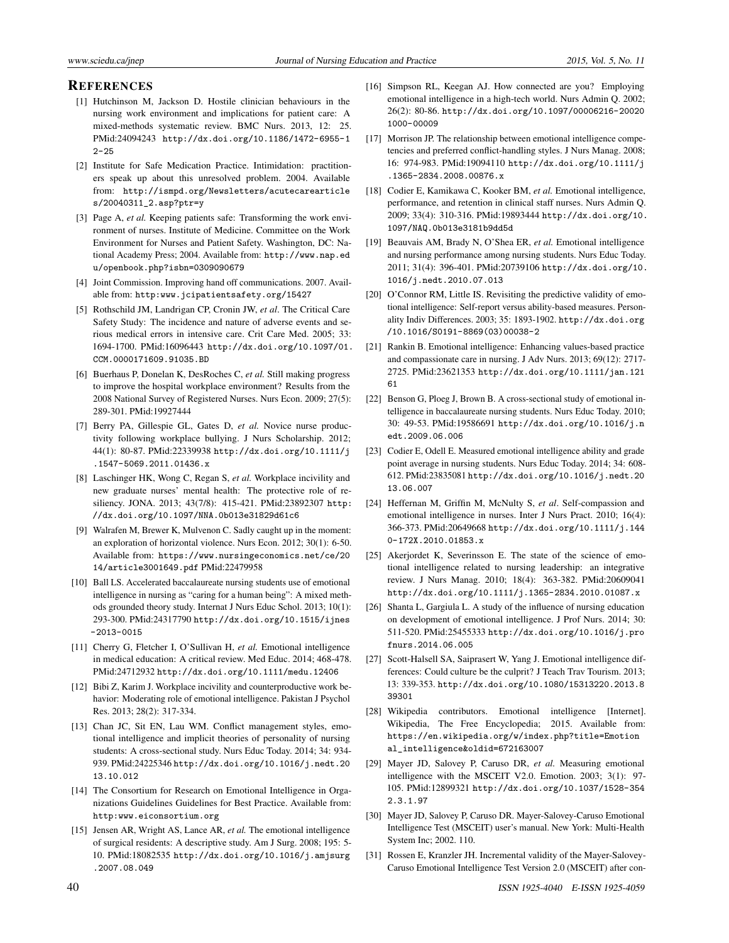#### **REFERENCES**

- <span id="page-11-0"></span>[1] Hutchinson M, Jackson D. Hostile clinician behaviours in the nursing work environment and implications for patient care: A mixed-methods systematic review. BMC Nurs. 2013, 12: 25. PMid:24094243 [http://dx.doi.org/10.1186/1472-6955-1](http://dx.doi.org/10.1186/1472-6955-12-25)  $2 - 25$
- [2] Institute for Safe Medication Practice. Intimidation: practitioners speak up about this unresolved problem. 2004. Available from: [http://ismpd.org/Newsletters/acutecarearticle](http://ismpd.org/Newsletters/acutecarearticles/ 20040311_2.asp?ptr=y) [s/20040311\\_2.asp?ptr=y](http://ismpd.org/Newsletters/acutecarearticles/ 20040311_2.asp?ptr=y)
- [3] Page A, *et al.* Keeping patients safe: Transforming the work environment of nurses. Institute of Medicine. Committee on the Work Environment for Nurses and Patient Safety. Washington, DC: National Academy Press; 2004. Available from: [http://www.nap.ed](http://www.nap.edu/openbook.php?isbn=0309090679) [u/openbook.php?isbn=0309090679](http://www.nap.edu/openbook.php?isbn=0309090679)
- [4] Joint Commission. Improving hand off communications. 2007. Available from: <http:www.jcipatientsafety.org/15427>
- [5] Rothschild JM, Landrigan CP, Cronin JW, *et al*. The Critical Care Safety Study: The incidence and nature of adverse events and serious medical errors in intensive care. Crit Care Med. 2005; 33: 1694-1700. PMid:16096443 [http://dx.doi.org/10.1097/01.](http://dx.doi.org/10.1097/01.CCM.0000171609.91035.BD) [CCM.0000171609.91035.BD](http://dx.doi.org/10.1097/01.CCM.0000171609.91035.BD)
- <span id="page-11-1"></span>[6] Buerhaus P, Donelan K, DesRoches C, *et al.* Still making progress to improve the hospital workplace environment? Results from the 2008 National Survey of Registered Nurses. Nurs Econ. 2009; 27(5): 289-301. PMid:19927444
- <span id="page-11-2"></span>[7] Berry PA, Gillespie GL, Gates D, *et al.* Novice nurse productivity following workplace bullying. J Nurs Scholarship. 2012; 44(1): 80-87. PMid:22339938 [http://dx.doi.org/10.1111/j](http://dx.doi.org/10.1111/j.1547-5069.2011.01436.x) [.1547-5069.2011.01436.x](http://dx.doi.org/10.1111/j.1547-5069.2011.01436.x)
- <span id="page-11-3"></span>[8] Laschinger HK, Wong C, Regan S, *et al.* Workplace incivility and new graduate nurses' mental health: The protective role of resiliency. JONA. 2013; 43(7/8): 415-421. PMid:23892307 [http:](http://dx.doi.org/10.1097/NNA.0b013e31829d61c6) [//dx.doi.org/10.1097/NNA.0b013e31829d61c6](http://dx.doi.org/10.1097/NNA.0b013e31829d61c6)
- <span id="page-11-4"></span>[9] Walrafen M, Brewer K, Mulvenon C. Sadly caught up in the moment: an exploration of horizontal violence. Nurs Econ. 2012; 30(1): 6-50. Available from: [https://www.nursingeconomics.net/ce/20](https://www.nursingeconomics.net/ce/2014/article3001649.pdf) [14/article3001649.pdf](https://www.nursingeconomics.net/ce/2014/article3001649.pdf) PMid:22479958
- <span id="page-11-5"></span>[10] Ball LS. Accelerated baccalaureate nursing students use of emotional intelligence in nursing as "caring for a human being": A mixed methods grounded theory study. Internat J Nurs Educ Schol. 2013; 10(1): 293-300. PMid:24317790 [http://dx.doi.org/10.1515/ijnes](http://dx.doi.org/10.1515/ijnes-2013-0015)  $-2013-0015$
- <span id="page-11-23"></span>[11] Cherry G, Fletcher I, O'Sullivan H, *et al.* Emotional intelligence in medical education: A critical review. Med Educ. 2014; 468-478. PMid:24712932 <http://dx.doi.org/10.1111/medu.12406>
- <span id="page-11-19"></span>[12] Bibi Z, Karim J. Workplace incivility and counterproductive work behavior: Moderating role of emotional intelligence. Pakistan J Psychol Res. 2013; 28(2): 317-334.
- <span id="page-11-7"></span>[13] Chan JC, Sit EN, Lau WM. Conflict management styles, emotional intelligence and implicit theories of personality of nursing students: A cross-sectional study. Nurs Educ Today. 2014; 34: 934- 939. PMid:24225346 [http://dx.doi.org/10.1016/j.nedt.20](http://dx.doi.org/10.1016/j.nedt.2013.10.012) [13.10.012](http://dx.doi.org/10.1016/j.nedt.2013.10.012)
- [14] The Consortium for Research on Emotional Intelligence in Organizations Guidelines Guidelines for Best Practice. Available from: [http:www.eiconsortium.org](http:www.eiconsortium.org )
- [15] Jensen AR, Wright AS, Lance AR, *et al.* The emotional intelligence of surgical residents: A descriptive study. Am J Surg. 2008; 195: 5- 10. PMid:18082535 [http://dx.doi.org/10.1016/j.amjsurg](http://dx.doi.org/10.1016/j.amjsurg.2007.08.049) [.2007.08.049](http://dx.doi.org/10.1016/j.amjsurg.2007.08.049)
- <span id="page-11-20"></span>[16] Simpson RL, Keegan AJ. How connected are you? Employing emotional intelligence in a high-tech world. Nurs Admin Q. 2002; 26(2): 80-86. [http://dx.doi.org/10.1097/00006216-20020](http://dx.doi.org/10.1097/00006216-200201000-00009 ) [1000-00009](http://dx.doi.org/10.1097/00006216-200201000-00009 )
- <span id="page-11-11"></span>[17] Morrison JP. The relationship between emotional intelligence competencies and preferred conflict-handling styles. J Nurs Manag. 2008; 16: 974-983. PMid:19094110 [http://dx.doi.org/10.1111/j](http://dx.doi.org/10.1111/j.1365-2834.2008.00876.x) [.1365-2834.2008.00876.x](http://dx.doi.org/10.1111/j.1365-2834.2008.00876.x)
- <span id="page-11-12"></span>[18] Codier E, Kamikawa C, Kooker BM, *et al.* Emotional intelligence, performance, and retention in clinical staff nurses. Nurs Admin Q. 2009; 33(4): 310-316. PMid:19893444 [http://dx.doi.org/10.](http://dx.doi.org/10.1097/NAQ.0b013e3181b9dd5d) [1097/NAQ.0b013e3181b9dd5d](http://dx.doi.org/10.1097/NAQ.0b013e3181b9dd5d)
- <span id="page-11-13"></span>[19] Beauvais AM, Brady N, O'Shea ER, *et al.* Emotional intelligence and nursing performance among nursing students. Nurs Educ Today. 2011; 31(4): 396-401. PMid:20739106 [http://dx.doi.org/10.](http://dx.doi.org/10.1016/j.nedt.2010.07.013) [1016/j.nedt.2010.07.013](http://dx.doi.org/10.1016/j.nedt.2010.07.013)
- <span id="page-11-14"></span>[20] O'Connor RM, Little IS. Revisiting the predictive validity of emotional intelligence: Self-report versus ability-based measures. Personality Indiv Differences. 2003; 35: 1893-1902. [http://dx.doi.org](http://dx.doi.org/10.1016/S0191-8869(03)00038-2 ) [/10.1016/S0191-8869\(03\)00038-2](http://dx.doi.org/10.1016/S0191-8869(03)00038-2 )
- <span id="page-11-15"></span>[21] Rankin B. Emotional intelligence: Enhancing values-based practice and compassionate care in nursing. J Adv Nurs. 2013; 69(12): 2717- 2725. PMid:23621353 [http://dx.doi.org/10.1111/jan.121](http://dx.doi.org/10.1111/jan.12161) [61](http://dx.doi.org/10.1111/jan.12161)
- <span id="page-11-16"></span>[22] Benson G, Ploeg J, Brown B. A cross-sectional study of emotional intelligence in baccalaureate nursing students. Nurs Educ Today. 2010; 30: 49-53. PMid:19586691 [http://dx.doi.org/10.1016/j.n](http://dx.doi.org/10.1016/j.nedt.2009.06.006) [edt.2009.06.006](http://dx.doi.org/10.1016/j.nedt.2009.06.006)
- <span id="page-11-17"></span>[23] Codier E, Odell E. Measured emotional intelligence ability and grade point average in nursing students. Nurs Educ Today. 2014; 34: 608- 612. PMid:23835081 [http://dx.doi.org/10.1016/j.nedt.20](http://dx.doi.org/10.1016/j.nedt.2013.06.007) [13.06.007](http://dx.doi.org/10.1016/j.nedt.2013.06.007)
- <span id="page-11-18"></span>[24] Heffernan M, Griffin M, McNulty S, *et al*. Self-compassion and emotional intelligence in nurses. Inter J Nurs Pract. 2010; 16(4): 366-373. PMid:20649668 [http://dx.doi.org/10.1111/j.144](http://dx.doi.org/10.1111/j.1440-172X.2010.01853.x) [0-172X.2010.01853.x](http://dx.doi.org/10.1111/j.1440-172X.2010.01853.x)
- [25] Akerjordet K, Severinsson E. The state of the science of emotional intelligence related to nursing leadership: an integrative review. J Nurs Manag. 2010; 18(4): 363-382. PMid:20609041 <http://dx.doi.org/10.1111/j.1365-2834.2010.01087.x>
- <span id="page-11-21"></span>[26] Shanta L, Gargiula L. A study of the influence of nursing education on development of emotional intelligence. J Prof Nurs. 2014; 30: 511-520. PMid:25455333 [http://dx.doi.org/10.1016/j.pro](http://dx.doi.org/10.1016/j.profnurs.2014.06.005) [fnurs.2014.06.005](http://dx.doi.org/10.1016/j.profnurs.2014.06.005)
- <span id="page-11-22"></span>[27] Scott-Halsell SA, Saiprasert W, Yang J. Emotional intelligence differences: Could culture be the culprit? J Teach Trav Tourism. 2013; 13: 339-353. [http://dx.doi.org/10.1080/15313220.2013.8](http://dx.doi.org/10.1080/15313220.2013.839301) [39301](http://dx.doi.org/10.1080/15313220.2013.839301)
- <span id="page-11-8"></span>[28] Wikipedia contributors. Emotional intelligence [Internet]. Wikipedia, The Free Encyclopedia; 2015. Available from: [https://en.wikipedia.org/w/index.php?title=Emotion](https://en.wikipedia.org/w/index.php?title=Emotional_intelligence&oldid=672163007) [al\\_intelligence&oldid=672163007](https://en.wikipedia.org/w/index.php?title=Emotional_intelligence&oldid=672163007)
- <span id="page-11-9"></span>[29] Mayer JD, Salovey P, Caruso DR, *et al.* Measuring emotional intelligence with the MSCEIT V2.0. Emotion. 2003; 3(1): 97- 105. PMid:12899321 [http://dx.doi.org/10.1037/1528-354](http://dx.doi.org/10.1037/1528-3542.3.1.97) [2.3.1.97](http://dx.doi.org/10.1037/1528-3542.3.1.97)
- <span id="page-11-10"></span>[30] Mayer JD, Salovey P, Caruso DR. Mayer-Salovey-Caruso Emotional Intelligence Test (MSCEIT) user's manual. New York: Multi-Health System Inc; 2002. 110.
- <span id="page-11-6"></span>[31] Rossen E, Kranzler JH. Incremental validity of the Mayer-Salovey-Caruso Emotional Intelligence Test Version 2.0 (MSCEIT) after con-